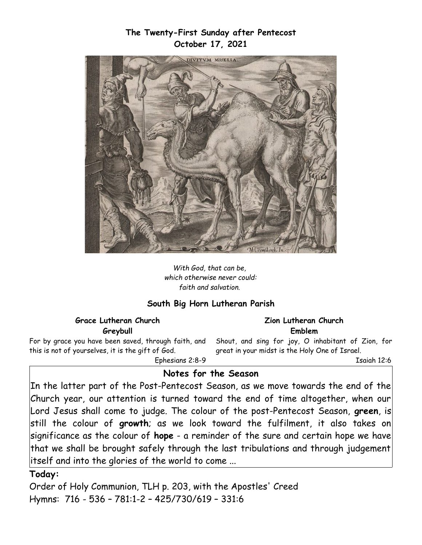## **The Twenty-First Sunday after Pentecost October 17, 2021**



*With God, that can be, which otherwise never could: faith and salvation.* 

### **South Big Horn Lutheran Parish**

#### **Grace Lutheran Church Greybull**

For by grace you have been saved, through faith, and this is not of yourselves, it is the gift of God.

Ephesians 2:8-9

#### **Zion Lutheran Church Emblem**

Shout, and sing for joy, O inhabitant of Zion, for great in your midst is the Holy One of Israel.

Isaiah 12:6

# **Notes for the Season**

In the latter part of the Post-Pentecost Season, as we move towards the end of the Church year, our attention is turned toward the end of time altogether, when our Lord Jesus shall come to judge. The colour of the post-Pentecost Season, **green**, is still the colour of **growth**; as we look toward the fulfilment, it also takes on significance as the colour of **hope** - a reminder of the sure and certain hope we have that we shall be brought safely through the last tribulations and through judgement itself and into the glories of the world to come ...

#### **Today:**

Order of Holy Communion, TLH p. 203, with the Apostles' Creed Hymns: 716 - 536 – 781:1-2 – 425/730/619 – 331:6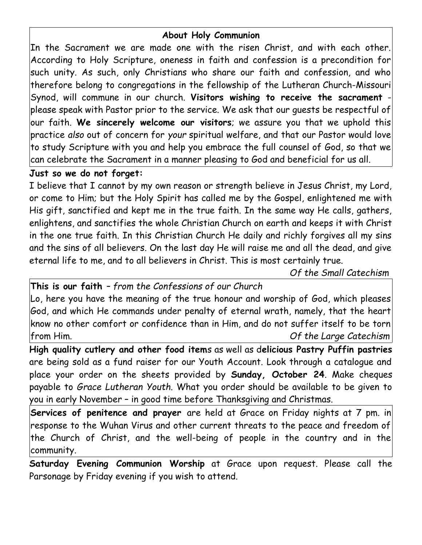# **About Holy Communion**

In the Sacrament we are made one with the risen Christ, and with each other. According to Holy Scripture, oneness in faith and confession is a precondition for such unity. As such, only Christians who share our faith and confession, and who therefore belong to congregations in the fellowship of the Lutheran Church-Missouri Synod, will commune in our church. **Visitors wishing to receive the sacrament** please speak with Pastor prior to the service. We ask that our guests be respectful of our faith. **We sincerely welcome our visitors**; we assure you that we uphold this practice *also* out of concern for *your* spiritual welfare, and that our Pastor would love to study Scripture with you and help you embrace the full counsel of God, so that we can celebrate the Sacrament in a manner pleasing to God and beneficial for us all.

### **Just so we do not forget:**

I believe that I cannot by my own reason or strength believe in Jesus Christ, my Lord, or come to Him; but the Holy Spirit has called me by the Gospel, enlightened me with His gift, sanctified and kept me in the true faith. In the same way He calls, gathers, enlightens, and sanctifies the whole Christian Church on earth and keeps it with Christ in the one true faith. In this Christian Church He daily and richly forgives all my sins and the sins of all believers. On the last day He will raise me and all the dead, and give eternal life to me, and to all believers in Christ. This is most certainly true.

*Of the Small Catechism*

**This is our faith** *– from the Confessions of our Church*

Lo, here you have the meaning of the true honour and worship of God, which pleases God, and which He commands under penalty of eternal wrath, namely, that the heart know no other comfort or confidence than in Him, and do not suffer itself to be torn from Him. *Of the Large Catechism*

**High quality cutlery and other food item**s as well as d**elicious Pastry Puffin pastries** are being sold as a fund raiser for our Youth Account. Look through a catalogue and place your order on the sheets provided by **Sunday, October 24**. Make cheques payable to *Grace Lutheran Youth*. What you order should be available to be given to you in early November – in good time before Thanksgiving and Christmas.

**Services of penitence and prayer** are held at Grace on Friday nights at 7 pm. in response to the Wuhan Virus and other current threats to the peace and freedom of the Church of Christ, and the well-being of people in the country and in the community.

**Saturday Evening Communion Worship** at Grace upon request. Please call the Parsonage by Friday evening if you wish to attend.